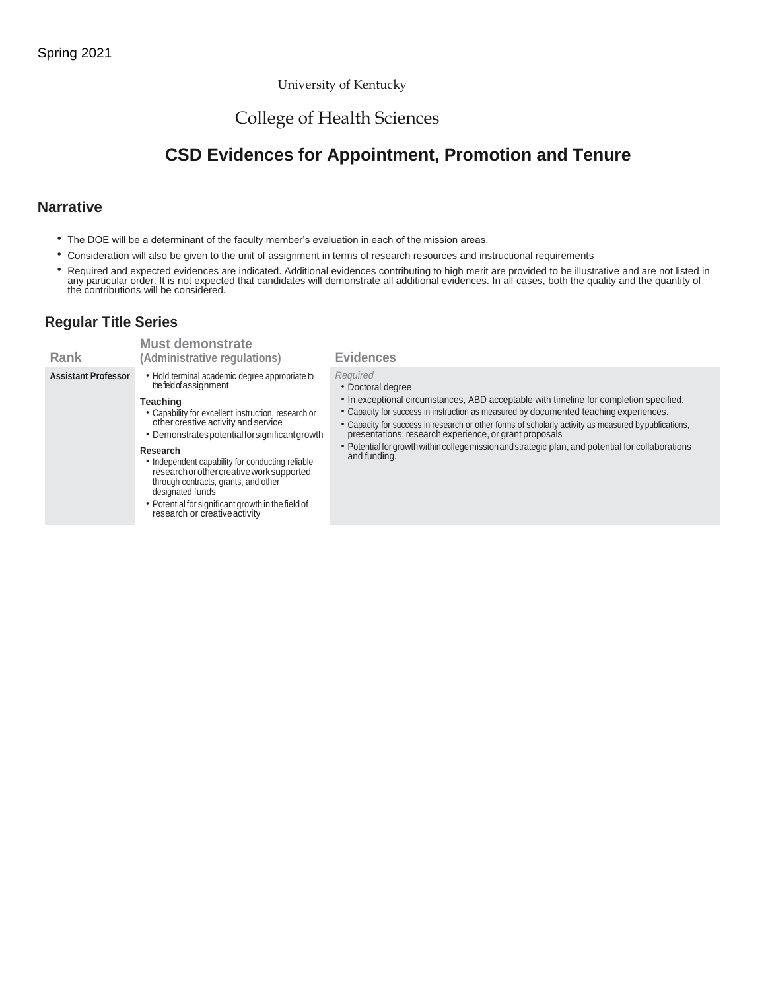## University of Kentucky

# College of Health Sciences

# **CSD Evidences for Appointment, Promotion and Tenure**

# **Narrative**

- The DOE will be a determinant of the faculty member's evaluation in each of the mission areas.
- Consideration will also be given to the unit of assignment in terms of research resources and instructional requirements
- Required and expected evidences are indicated. Additional evidences contributing to high merit are provided to be illustrative and are not listed in<br>any particular order. It is not expected that candidates will demonstra

# **Regular Title Series**

| Rank                       | <b>Must demonstrate</b><br>(Administrative regulations)                                                                                                                                                                                                                                                                                                                                                                                                                                                | <b>Evidences</b>                                                                                                                                                                                                                                                                                                                                                                                                                                                                                         |
|----------------------------|--------------------------------------------------------------------------------------------------------------------------------------------------------------------------------------------------------------------------------------------------------------------------------------------------------------------------------------------------------------------------------------------------------------------------------------------------------------------------------------------------------|----------------------------------------------------------------------------------------------------------------------------------------------------------------------------------------------------------------------------------------------------------------------------------------------------------------------------------------------------------------------------------------------------------------------------------------------------------------------------------------------------------|
| <b>Assistant Professor</b> | • Hold terminal academic degree appropriate to<br>the field of assignment<br>Teaching<br>• Capability for excellent instruction, research or<br>other creative activity and service<br>• Demonstrates potential for significant growth<br>Research<br>• Independent capability for conducting reliable<br>research or other creative work supported<br>through contracts, grants, and other<br>designated funds<br>• Potential for significant growth in the field of<br>research or creative activity | Required<br>• Doctoral degree<br>• In exceptional circumstances, ABD acceptable with timeline for completion specified.<br>• Capacity for success in instruction as measured by documented teaching experiences.<br>• Capacity for success in research or other forms of scholarly activity as measured by publications,<br>presentations, research experience, or grant proposals<br>• Potential for growth within college mission and strategic plan, and potential for collaborations<br>and funding. |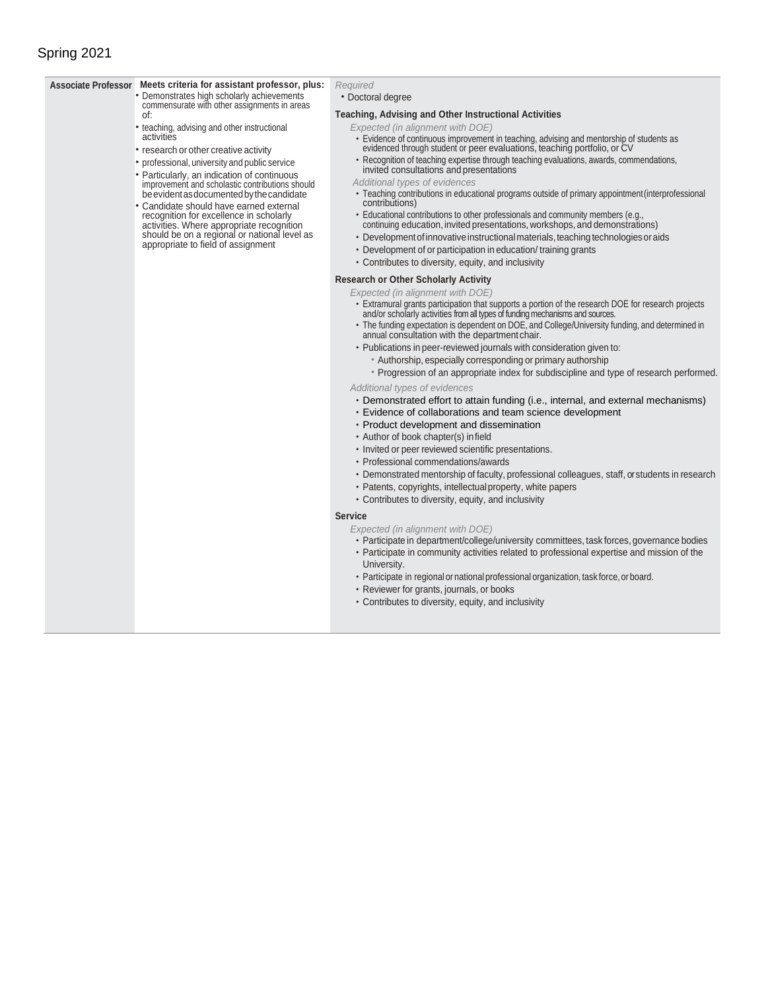# Spring 2021

#### **Associate Professor Meets criteria for assistant professor, plus:** • Demonstrates high scholarly achievements

of:

activities

commensurate with other assignments in areas

• teaching, advising and other instructional

• research or other creative activity • professional, university and public service • Particularly, an indication of continuous improvement and scholastic contributions should be evident as documented by the candidate • Candidate should have earned external recognition for excellence in scholarly activities. Where appropriate recognition should be on a regional or national level as appropriate to field of assignment

- *Required*
	- Doctoral degree

## **Teaching, Advising and Other Instructional Activities**

- *Expected (in alignment with DOE)*
	- Evidence of continuous improvement in teaching, advising and mentorship of students as evidenced through student or peer evaluations, teaching portfolio, or CV
- Recognition of teaching expertise through teaching evaluations, awards, commendations, invited consultations and presentations
- *Additional types of evidences*
- Teaching contributions in educational programs outside of primary appointment(interprofessional contributions)
- Educational contributions to other professionals and community members (e.g., continuing education, invited presentations, workshops, and demonstrations)
- Development of innovative instructional materials, teaching technologies or aids
- Development of or participation in education/ training grants
- Contributes to diversity, equity, and inclusivity

### **Research or Other Scholarly Activity**

*Expected (in alignment with DOE)*

- Extramural grants participation that supports a portion of the research DOE for research projects and/or scholarly activities from all types of funding mechanisms and sources.
- The funding expectation is dependent on DOE, and College/University funding, and determined in annual consultation with the department chair.
- Publications in peer-reviewed journals with consideration given to:
	- Authorship, especially corresponding or primary authorship

• Progression of an appropriate index for subdiscipline and type of research performed. *Additional types of evidences*

- Demonstrated effort to attain funding (i.e., internal, and external mechanisms)
- Evidence of collaborations and team science development
- Product development and dissemination
- Author of book chapter(s) infield
- Invited or peer reviewed scientific presentations.
- Professional commendations/awards
- Demonstrated mentorship of faculty, professional colleagues, staff, or students in research
- Patents, copyrights, intellectualproperty, white papers
- Contributes to diversity, equity, and inclusivity

### **Service**

*Expected (in alignment with DOE)*

- Participate in department/college/university committees, task forces, governance bodies
- Participate in community activities related to professional expertise and mission of the University.
- Participate in regional or national professional organization, task force, or board.
- Reviewer for grants, journals, or books
- Contributes to diversity, equity, and inclusivity